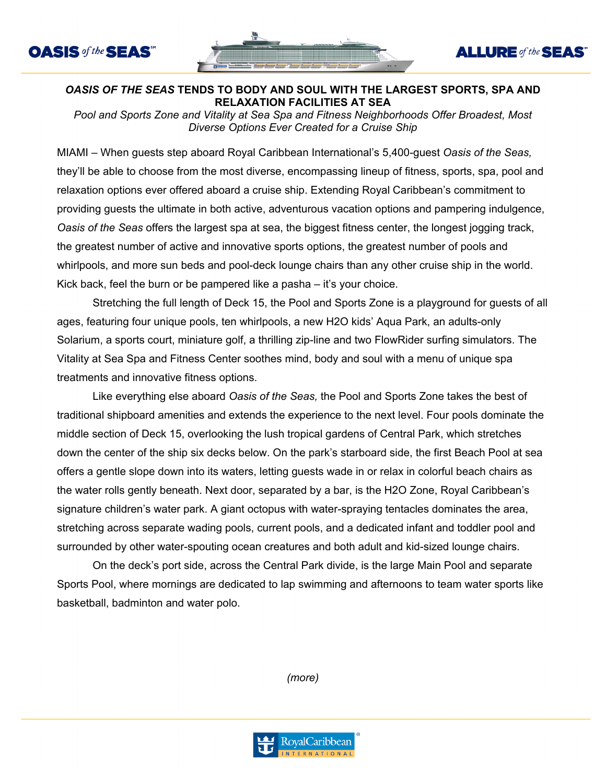



**ALLURE** of the **SEAS** 

## *OASIS OF THE SEAS* **TENDS TO BODY AND SOUL WITH THE LARGEST SPORTS, SPA AND RELAXATION FACILITIES AT SEA**

*Pool and Sports Zone and Vitality at Sea Spa and Fitness Neighborhoods Offer Broadest, Most Diverse Options Ever Created for a Cruise Ship*

MIAMI – When guests step aboard Royal Caribbean International's 5,400-guest *Oasis of the Seas,*  they'll be able to choose from the most diverse, encompassing lineup of fitness, sports, spa, pool and relaxation options ever offered aboard a cruise ship. Extending Royal Caribbean's commitment to providing guests the ultimate in both active, adventurous vacation options and pampering indulgence, *Oasis of the Seas* offers the largest spa at sea, the biggest fitness center, the longest jogging track, the greatest number of active and innovative sports options, the greatest number of pools and whirlpools, and more sun beds and pool-deck lounge chairs than any other cruise ship in the world. Kick back, feel the burn or be pampered like a pasha – it's your choice.

Stretching the full length of Deck 15, the Pool and Sports Zone is a playground for guests of all ages, featuring four unique pools, ten whirlpools, a new H2O kids' Aqua Park, an adults-only Solarium, a sports court, miniature golf, a thrilling zip-line and two FlowRider surfing simulators. The Vitality at Sea Spa and Fitness Center soothes mind, body and soul with a menu of unique spa treatments and innovative fitness options.

Like everything else aboard *Oasis of the Seas,* the Pool and Sports Zone takes the best of traditional shipboard amenities and extends the experience to the next level. Four pools dominate the middle section of Deck 15, overlooking the lush tropical gardens of Central Park, which stretches down the center of the ship six decks below. On the park's starboard side, the first Beach Pool at sea offers a gentle slope down into its waters, letting guests wade in or relax in colorful beach chairs as the water rolls gently beneath. Next door, separated by a bar, is the H2O Zone, Royal Caribbean's signature children's water park. A giant octopus with water-spraying tentacles dominates the area, stretching across separate wading pools, current pools, and a dedicated infant and toddler pool and surrounded by other water-spouting ocean creatures and both adult and kid-sized lounge chairs.

On the deck's port side, across the Central Park divide, is the large Main Pool and separate Sports Pool, where mornings are dedicated to lap swimming and afternoons to team water sports like basketball, badminton and water polo.

*(more)*

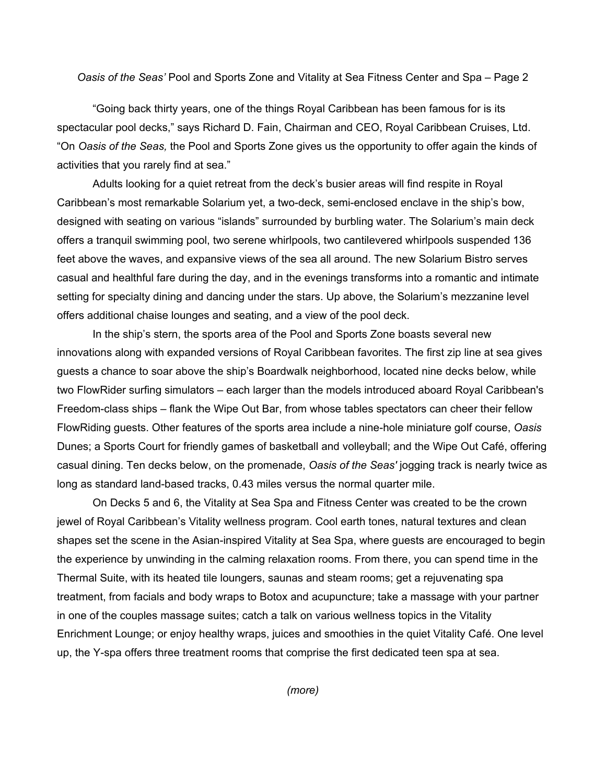*Oasis of the Seas'* Pool and Sports Zone and Vitality at Sea Fitness Center and Spa – Page 2

"Going back thirty years, one of the things Royal Caribbean has been famous for is its spectacular pool decks," says Richard D. Fain, Chairman and CEO, Royal Caribbean Cruises, Ltd. "On *Oasis of the Seas,* the Pool and Sports Zone gives us the opportunity to offer again the kinds of activities that you rarely find at sea."

Adults looking for a quiet retreat from the deck's busier areas will find respite in Royal Caribbean's most remarkable Solarium yet, a two-deck, semi-enclosed enclave in the ship's bow, designed with seating on various "islands" surrounded by burbling water. The Solarium's main deck offers a tranquil swimming pool, two serene whirlpools, two cantilevered whirlpools suspended 136 feet above the waves, and expansive views of the sea all around. The new Solarium Bistro serves casual and healthful fare during the day, and in the evenings transforms into a romantic and intimate setting for specialty dining and dancing under the stars. Up above, the Solarium's mezzanine level offers additional chaise lounges and seating, and a view of the pool deck.

In the ship's stern, the sports area of the Pool and Sports Zone boasts several new innovations along with expanded versions of Royal Caribbean favorites. The first zip line at sea gives guests a chance to soar above the ship's Boardwalk neighborhood, located nine decks below, while two FlowRider surfing simulators – each larger than the models introduced aboard Royal Caribbean's Freedom-class ships – flank the Wipe Out Bar, from whose tables spectators can cheer their fellow FlowRiding guests. Other features of the sports area include a nine-hole miniature golf course, *Oasis* Dunes; a Sports Court for friendly games of basketball and volleyball; and the Wipe Out Café, offering casual dining. Ten decks below, on the promenade, *Oasis of the Seas'* jogging track is nearly twice as long as standard land-based tracks, 0.43 miles versus the normal quarter mile.

On Decks 5 and 6, the Vitality at Sea Spa and Fitness Center was created to be the crown jewel of Royal Caribbean's Vitality wellness program. Cool earth tones, natural textures and clean shapes set the scene in the Asian-inspired Vitality at Sea Spa, where guests are encouraged to begin the experience by unwinding in the calming relaxation rooms. From there, you can spend time in the Thermal Suite, with its heated tile loungers, saunas and steam rooms; get a rejuvenating spa treatment, from facials and body wraps to Botox and acupuncture; take a massage with your partner in one of the couples massage suites; catch a talk on various wellness topics in the Vitality Enrichment Lounge; or enjoy healthy wraps, juices and smoothies in the quiet Vitality Café. One level up, the Y-spa offers three treatment rooms that comprise the first dedicated teen spa at sea.

*(more)*